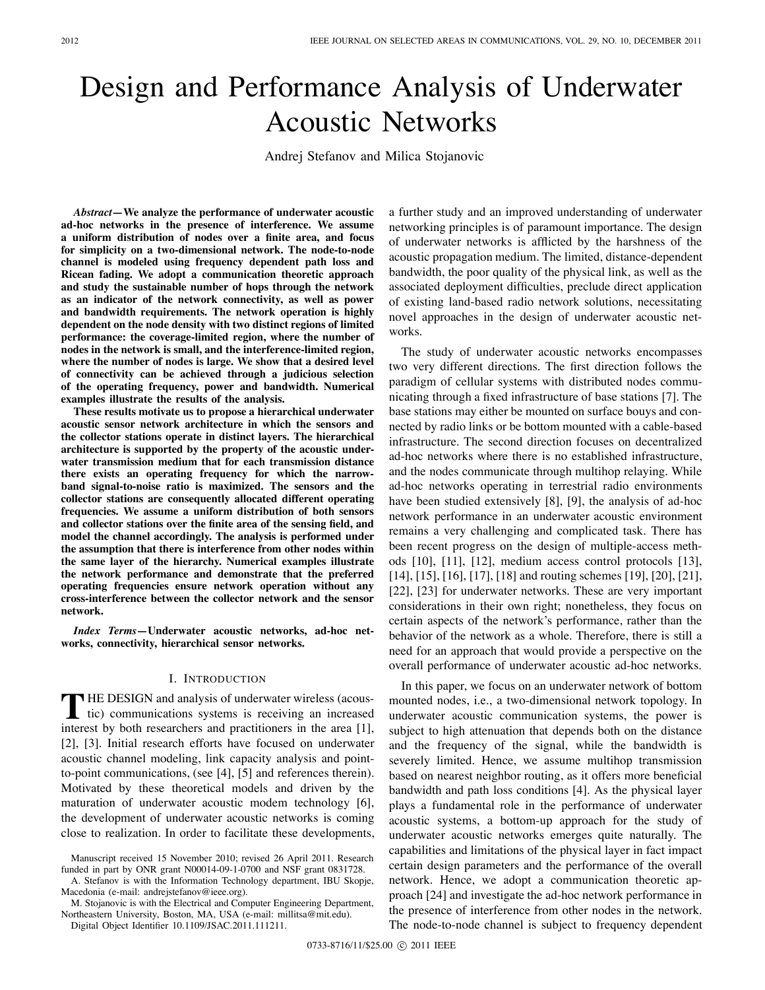# Design and Performance Analysis of Underwater Acoustic Networks

Andrej Stefanov and Milica Stojanovic

*Abstract***—We analyze the performance of underwater acoustic ad-hoc networks in the presence of interference. We assume a uniform distribution of nodes over a finite area, and focus for simplicity on a two-dimensional network. The node-to-node channel is modeled using frequency dependent path loss and Ricean fading. We adopt a communication theoretic approach and study the sustainable number of hops through the network as an indicator of the network connectivity, as well as power and bandwidth requirements. The network operation is highly dependent on the node density with two distinct regions of limited performance: the coverage-limited region, where the number of nodes in the network is small, and the interference-limited region, where the number of nodes is large. We show that a desired level of connectivity can be achieved through a judicious selection of the operating frequency, power and bandwidth. Numerical examples illustrate the results of the analysis.**

**These results motivate us to propose a hierarchical underwater acoustic sensor network architecture in which the sensors and the collector stations operate in distinct layers. The hierarchical architecture is supported by the property of the acoustic underwater transmission medium that for each transmission distance there exists an operating frequency for which the narrowband signal-to-noise ratio is maximized. The sensors and the collector stations are consequently allocated different operating frequencies. We assume a uniform distribution of both sensors and collector stations over the finite area of the sensing field, and model the channel accordingly. The analysis is performed under the assumption that there is interference from other nodes within the same layer of the hierarchy. Numerical examples illustrate the network performance and demonstrate that the preferred operating frequencies ensure network operation without any cross-interference between the collector network and the sensor network.**

*Index Terms***—Underwater acoustic networks, ad-hoc networks, connectivity, hierarchical sensor networks.**

#### I. INTRODUCTION

**T** HE DESIGN and analysis of underwater wireless (acoustic) communications systems is receiving an increased interact by both receprehence and prestitioners in the area [1]. interest by both researchers and practitioners in the area [1], [2], [3]. Initial research efforts have focused on underwater acoustic channel modeling, link capacity analysis and pointto-point communications, (see [4], [5] and references therein). Motivated by these theoretical models and driven by the maturation of underwater acoustic modem technology [6], the development of underwater acoustic networks is coming close to realization. In order to facilitate these developments,

M. Stojanovic is with the Electrical and Computer Engineering Department, Northeastern University, Boston, MA, USA (e-mail: millitsa@mit.edu).

Digital Object Identifier 10.1109/JSAC.2011.111211.

a further study and an improved understanding of underwater networking principles is of paramount importance. The design of underwater networks is afflicted by the harshness of the acoustic propagation medium. The limited, distance-dependent bandwidth, the poor quality of the physical link, as well as the associated deployment difficulties, preclude direct application of existing land-based radio network solutions, necessitating novel approaches in the design of underwater acoustic networks.

The study of underwater acoustic networks encompasses two very different directions. The first direction follows the paradigm of cellular systems with distributed nodes communicating through a fixed infrastructure of base stations [7]. The base stations may either be mounted on surface bouys and connected by radio links or be bottom mounted with a cable-based infrastructure. The second direction focuses on decentralized ad-hoc networks where there is no established infrastructure, and the nodes communicate through multihop relaying. While ad-hoc networks operating in terrestrial radio environments have been studied extensively [8], [9], the analysis of ad-hoc network performance in an underwater acoustic environment remains a very challenging and complicated task. There has been recent progress on the design of multiple-access methods [10], [11], [12], medium access control protocols [13], [14], [15], [16], [17], [18] and routing schemes [19], [20], [21], [22], [23] for underwater networks. These are very important considerations in their own right; nonetheless, they focus on certain aspects of the network's performance, rather than the behavior of the network as a whole. Therefore, there is still a need for an approach that would provide a perspective on the overall performance of underwater acoustic ad-hoc networks.

In this paper, we focus on an underwater network of bottom mounted nodes, i.e., a two-dimensional network topology. In underwater acoustic communication systems, the power is subject to high attenuation that depends both on the distance and the frequency of the signal, while the bandwidth is severely limited. Hence, we assume multihop transmission based on nearest neighbor routing, as it offers more beneficial bandwidth and path loss conditions [4]. As the physical layer plays a fundamental role in the performance of underwater acoustic systems, a bottom-up approach for the study of underwater acoustic networks emerges quite naturally. The capabilities and limitations of the physical layer in fact impact certain design parameters and the performance of the overall network. Hence, we adopt a communication theoretic approach [24] and investigate the ad-hoc network performance in the presence of interference from other nodes in the network. The node-to-node channel is subject to frequency dependent

Manuscript received 15 November 2010; revised 26 April 2011. Research funded in part by ONR grant N00014-09-1-0700 and NSF grant 0831728.

A. Stefanov is with the Information Technology department, IBU Skopje, Macedonia (e-mail: andrejstefanov@ieee.org).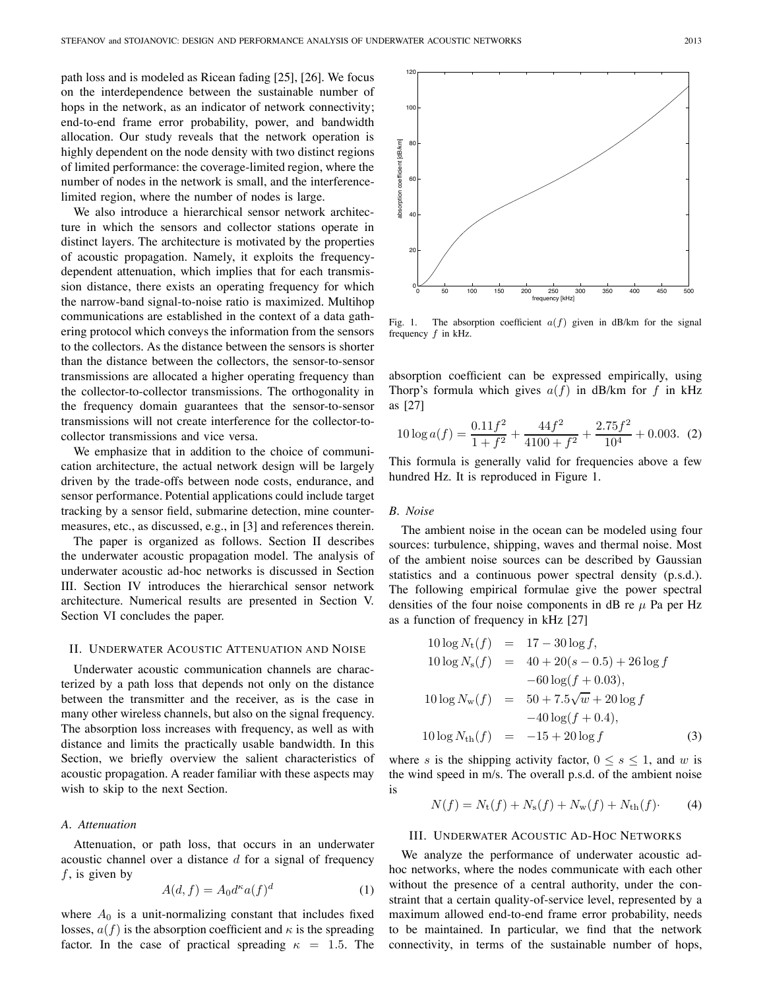path loss and is modeled as Ricean fading [25], [26]. We focus on the interdependence between the sustainable number of hops in the network, as an indicator of network connectivity; end-to-end frame error probability, power, and bandwidth allocation. Our study reveals that the network operation is highly dependent on the node density with two distinct regions of limited performance: the coverage-limited region, where the number of nodes in the network is small, and the interferencelimited region, where the number of nodes is large.

We also introduce a hierarchical sensor network architecture in which the sensors and collector stations operate in distinct layers. The architecture is motivated by the properties of acoustic propagation. Namely, it exploits the frequencydependent attenuation, which implies that for each transmission distance, there exists an operating frequency for which the narrow-band signal-to-noise ratio is maximized. Multihop communications are established in the context of a data gathering protocol which conveys the information from the sensors to the collectors. As the distance between the sensors is shorter than the distance between the collectors, the sensor-to-sensor transmissions are allocated a higher operating frequency than the collector-to-collector transmissions. The orthogonality in the frequency domain guarantees that the sensor-to-sensor transmissions will not create interference for the collector-tocollector transmissions and vice versa.

We emphasize that in addition to the choice of communication architecture, the actual network design will be largely driven by the trade-offs between node costs, endurance, and sensor performance. Potential applications could include target tracking by a sensor field, submarine detection, mine countermeasures, etc., as discussed, e.g., in [3] and references therein.

The paper is organized as follows. Section II describes the underwater acoustic propagation model. The analysis of underwater acoustic ad-hoc networks is discussed in Section III. Section IV introduces the hierarchical sensor network architecture. Numerical results are presented in Section V. Section VI concludes the paper.

## II. UNDERWATER ACOUSTIC ATTENUATION AND NOISE

Underwater acoustic communication channels are characterized by a path loss that depends not only on the distance between the transmitter and the receiver, as is the case in many other wireless channels, but also on the signal frequency. The absorption loss increases with frequency, as well as with distance and limits the practically usable bandwidth. In this Section, we briefly overview the salient characteristics of acoustic propagation. A reader familiar with these aspects may wish to skip to the next Section.

## *A. Attenuation*

Attenuation, or path loss, that occurs in an underwater acoustic channel over a distance  $d$  for a signal of frequency  $f$ , is given by

$$
A(d, f) = A_0 d^{\kappa} a(f)^d \tag{1}
$$

where  $A_0$  is a unit-normalizing constant that includes fixed losses,  $a(f)$  is the absorption coefficient and  $\kappa$  is the spreading factor. In the case of practical spreading  $\kappa = 1.5$ . The

Fig. 1. The absorption coefficient  $a(f)$  given in dB/km for the signal frequency  $f$  in kHz.

absorption coefficient can be expressed empirically, using Thorp's formula which gives  $a(f)$  in dB/km for f in kHz as [27]

$$
10\log a(f) = \frac{0.11f^2}{1+f^2} + \frac{44f^2}{4100+f^2} + \frac{2.75f^2}{10^4} + 0.003.
$$
 (2)  
This formula is generally valid for frequencies above a few

hundred Hz. It is reproduced in Figure 1.

# *B. Noise*

The ambient noise in the ocean can be modeled using four sources: turbulence, shipping, waves and thermal noise. Most of the ambient noise sources can be described by Gaussian statistics and a continuous power spectral density (p.s.d.). The following empirical formulae give the power spectral densities of the four noise components in dB re  $\mu$  Pa per Hz as a function of frequency in kHz [27]

$$
10 \log N_{\rm t}(f) = 17 - 30 \log f,
$$
  
\n
$$
10 \log N_{\rm s}(f) = 40 + 20(s - 0.5) + 26 \log f
$$
  
\n
$$
-60 \log(f + 0.03),
$$
  
\n
$$
10 \log N_{\rm w}(f) = 50 + 7.5\sqrt{w} + 20 \log f
$$
  
\n
$$
-40 \log(f + 0.4),
$$
  
\n
$$
10 \log N_{\rm th}(f) = -15 + 20 \log f
$$
  
\n(3)

where s is the shipping activity factor,  $0 \leq s \leq 1$ , and w is the wind speed in m/s. The overall p.s.d. of the ambient noise is

$$
N(f) = N_{\rm t}(f) + N_{\rm s}(f) + N_{\rm w}(f) + N_{\rm th}(f). \tag{4}
$$

#### III. UNDERWATER ACOUSTIC AD-HOC NETWORKS

We analyze the performance of underwater acoustic adhoc networks, where the nodes communicate with each other without the presence of a central authority, under the constraint that a certain quality-of-service level, represented by a maximum allowed end-to-end frame error probability, needs to be maintained. In particular, we find that the network connectivity, in terms of the sustainable number of hops,

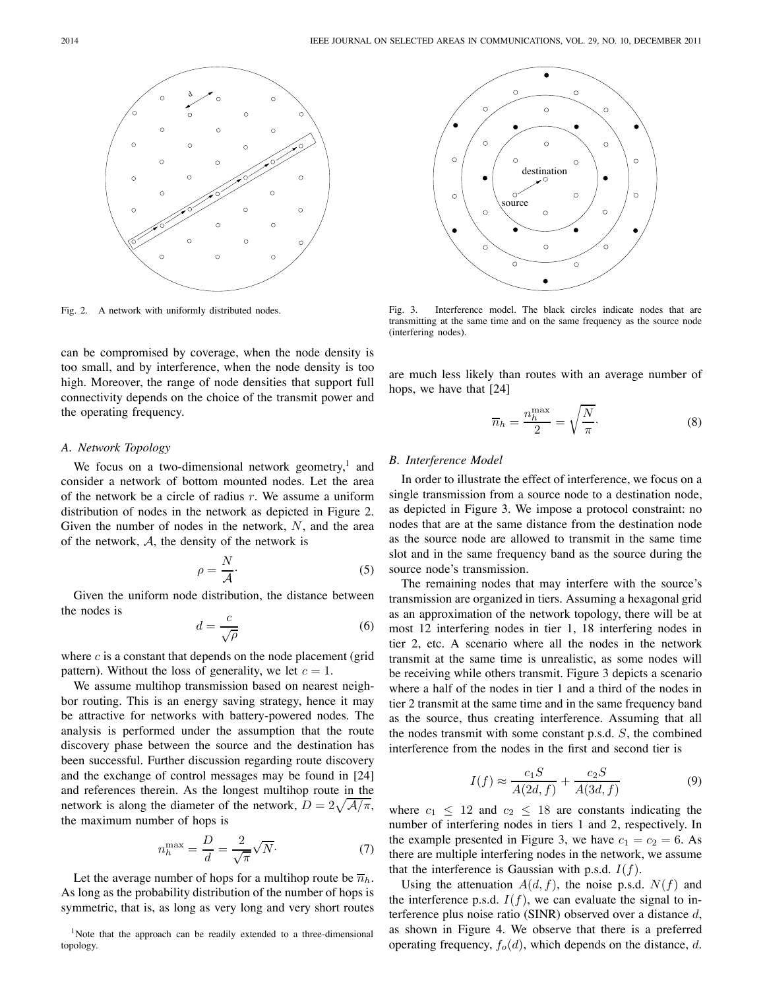

Fig. 2. A network with uniformly distributed nodes.

can be compromised by coverage, when the node density is too small, and by interference, when the node density is too high. Moreover, the range of node densities that support full connectivity depends on the choice of the transmit power and the operating frequency.

#### *A. Network Topology*

We focus on a two-dimensional network geometry,<sup>1</sup> and consider a network of bottom mounted nodes. Let the area of the network be a circle of radius  $r$ . We assume a uniform distribution of nodes in the network as depicted in Figure 2. Given the number of nodes in the network,  $N$ , and the area of the network, A, the density of the network is

$$
\rho = \frac{N}{\mathcal{A}}.\tag{5}
$$

Given the uniform node distribution, the distance between the nodes is

$$
d = \frac{c}{\sqrt{\rho}}\tag{6}
$$

where  $c$  is a constant that depends on the node placement (grid pattern). Without the loss of generality, we let  $c = 1$ .

We assume multihop transmission based on nearest neighbor routing. This is an energy saving strategy, hence it may be attractive for networks with battery-powered nodes. The analysis is performed under the assumption that the route discovery phase between the source and the destination has been successful. Further discussion regarding route discovery and the exchange of control messages may be found in [24] and references therein. As the longest multihop route in the network is along the diameter of the network,  $\overline{D} = 2\sqrt{A/\pi}$ , the maximum number of hops is

$$
n_h^{\text{max}} = \frac{D}{d} = \frac{2}{\sqrt{\pi}} \sqrt{N}.
$$
 (7)

Let the average number of hops for a multihop route be  $\overline{n}_h$ . As long as the probability distribution of the number of hops is symmetric, that is, as long as very long and very short routes

<sup>1</sup>Note that the approach can be readily extended to a three-dimensional topology.



Fig. 3. Interference model. The black circles indicate nodes that are transmitting at the same time and on the same frequency as the source node (interfering nodes).

are much less likely than routes with an average number of hops, we have that [24]

$$
\overline{n}_h = \frac{n_h^{\text{max}}}{2} = \sqrt{\frac{N}{\pi}}.\tag{8}
$$

# *B. Interference Model*

In order to illustrate the effect of interference, we focus on a single transmission from a source node to a destination node, as depicted in Figure 3. We impose a protocol constraint: no nodes that are at the same distance from the destination node as the source node are allowed to transmit in the same time slot and in the same frequency band as the source during the source node's transmission.

The remaining nodes that may interfere with the source's transmission are organized in tiers. Assuming a hexagonal grid as an approximation of the network topology, there will be at most 12 interfering nodes in tier 1, 18 interfering nodes in tier 2, etc. A scenario where all the nodes in the network transmit at the same time is unrealistic, as some nodes will be receiving while others transmit. Figure 3 depicts a scenario where a half of the nodes in tier 1 and a third of the nodes in tier 2 transmit at the same time and in the same frequency band as the source, thus creating interference. Assuming that all the nodes transmit with some constant p.s.d. S, the combined interference from the nodes in the first and second tier is

$$
I(f) \approx \frac{c_1 S}{A(2d, f)} + \frac{c_2 S}{A(3d, f)}
$$
(9)

where  $c_1 \leq 12$  and  $c_2 \leq 18$  are constants indicating the number of interfering nodes in tiers 1 and 2 respectively. In number of interfering nodes in tiers 1 and 2, respectively. In the example presented in Figure 3, we have  $c_1 = c_2 = 6$ . As there are multiple interfering nodes in the network, we assume that the interference is Gaussian with p.s.d.  $I(f)$ .

Using the attenuation  $A(d, f)$ , the noise p.s.d.  $N(f)$  and the interference p.s.d.  $I(f)$ , we can evaluate the signal to interference plus noise ratio (SINR) observed over a distance  $d$ , as shown in Figure 4. We observe that there is a preferred operating frequency,  $f_o(d)$ , which depends on the distance, d.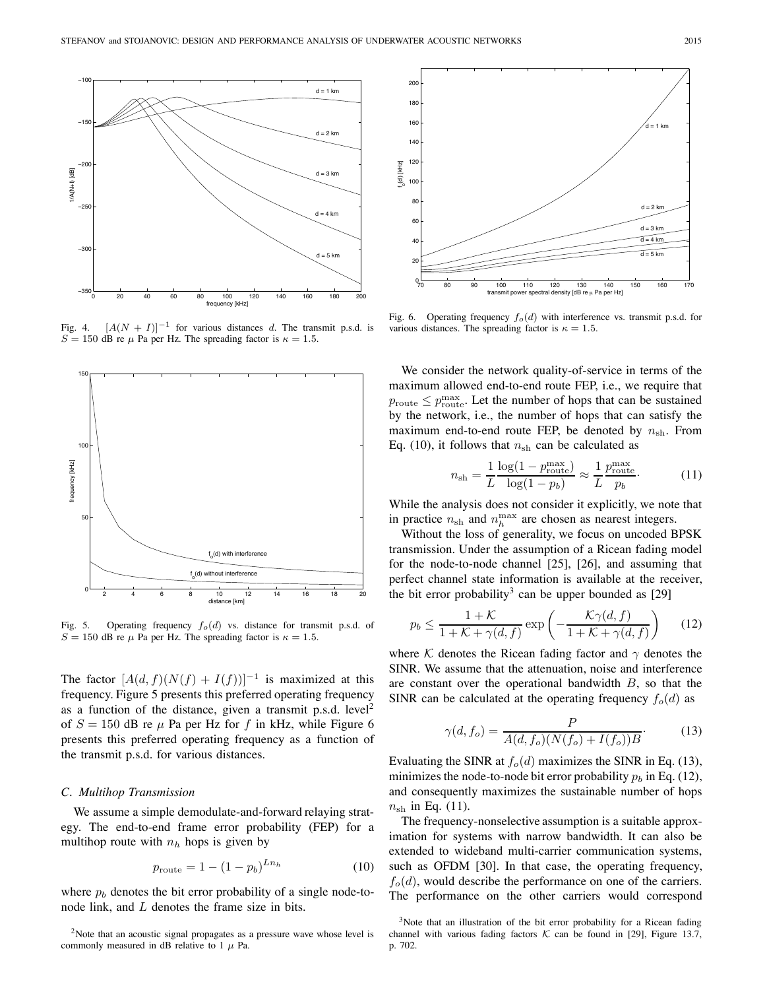

Fig. 4.  $[A(N + I)]^{-1}$  for various distances d. The transmit p.s.d. is  $S = 150$  dB re  $\mu$  Pa per Hz. The spreading factor is  $\kappa = 1.5$ .



Fig. 5. Operating frequency  $f_o(d)$  vs. distance for transmit p.s.d. of  $S = 150$  dB re  $\mu$  Pa per Hz. The spreading factor is  $\kappa = 1.5$ .

The factor  $[A(d, f)(N(f) + I(f))]^{-1}$  is maximized at this frequency. Figure 5 presents this preferred operating frequency as a function of the distance, given a transmit p.s.d. level<sup>2</sup> of  $S = 150$  dB re  $\mu$  Pa per Hz for f in kHz, while Figure 6 presents this preferred operating frequency as a function of the transmit p.s.d. for various distances.

#### *C. Multihop Transmission*

We assume a simple demodulate-and-forward relaying strategy. The end-to-end frame error probability (FEP) for a multihop route with  $n_h$  hops is given by

$$
p_{\text{route}} = 1 - (1 - p_b)^{Ln_h} \tag{10}
$$

where  $p_b$  denotes the bit error probability of a single node-tonode link, and  $L$  denotes the frame size in bits.

<sup>2</sup>Note that an acoustic signal propagates as a pressure wave whose level is commonly measured in dB relative to 1  $\mu$  Pa.



Fig. 6. Operating frequency  $f<sub>o</sub>(d)$  with interference vs. transmit p.s.d. for various distances. The spreading factor is  $\kappa = 1.5$ .

We consider the network quality-of-service in terms of the maximum allowed end-to-end route FEP, i.e., we require that  $p_{\text{route}} \leq p_{\text{route}}^{\text{max}}$ . Let the number of hops that can be sustained by the network, i.e., the number of hops that can satisfy the maximum end-to-end route FEP, be denoted by  $n_{\rm sh}$ . From Eq. (10), it follows that  $n_{\rm sh}$  can be calculated as

$$
n_{\rm sh} = \frac{1}{L} \frac{\log(1 - p_{\rm route}^{\rm max})}{\log(1 - p_b)} \approx \frac{1}{L} \frac{p_{\rm route}^{\rm max}}{p_b}.
$$
 (11)

While the analysis does not consider it explicitly, we note that in practice  $n_{\rm sh}$  and  $n_h^{\rm max}$  are chosen as nearest integers.

Without the loss of generality, we focus on uncoded BPSK transmission. Under the assumption of a Ricean fading model for the node-to-node channel [25], [26], and assuming that perfect channel state information is available at the receiver, the bit error probability<sup>3</sup> can be upper bounded as  $[29]$ 

$$
p_b \le \frac{1+\mathcal{K}}{1+\mathcal{K} + \gamma(d,f)} \exp\left(-\frac{\mathcal{K}\gamma(d,f)}{1+\mathcal{K} + \gamma(d,f)}\right) \tag{12}
$$

where K denotes the Ricean fading factor and  $\gamma$  denotes the SINR. We assume that the attenuation, noise and interference are constant over the operational bandwidth  $B$ , so that the SINR can be calculated at the operating frequency  $f_o(d)$  as

$$
\gamma(d, f_o) = \frac{P}{A(d, f_o)(N(f_o) + I(f_o))B}.
$$
 (13)

Evaluating the SINR at  $f<sub>o</sub>(d)$  maximizes the SINR in Eq. (13), minimizes the node-to-node bit error probability  $p_b$  in Eq. (12), and consequently maximizes the sustainable number of hops  $n_{\rm sh}$  in Eq. (11).

The frequency-nonselective assumption is a suitable approximation for systems with narrow bandwidth. It can also be extended to wideband multi-carrier communication systems, such as OFDM [30]. In that case, the operating frequency,  $f<sub>o</sub>(d)$ , would describe the performance on one of the carriers. The performance on the other carriers would correspond

<sup>&</sup>lt;sup>3</sup>Note that an illustration of the bit error probability for a Ricean fading channel with various fading factors  $K$  can be found in [29], Figure 13.7, p. 702.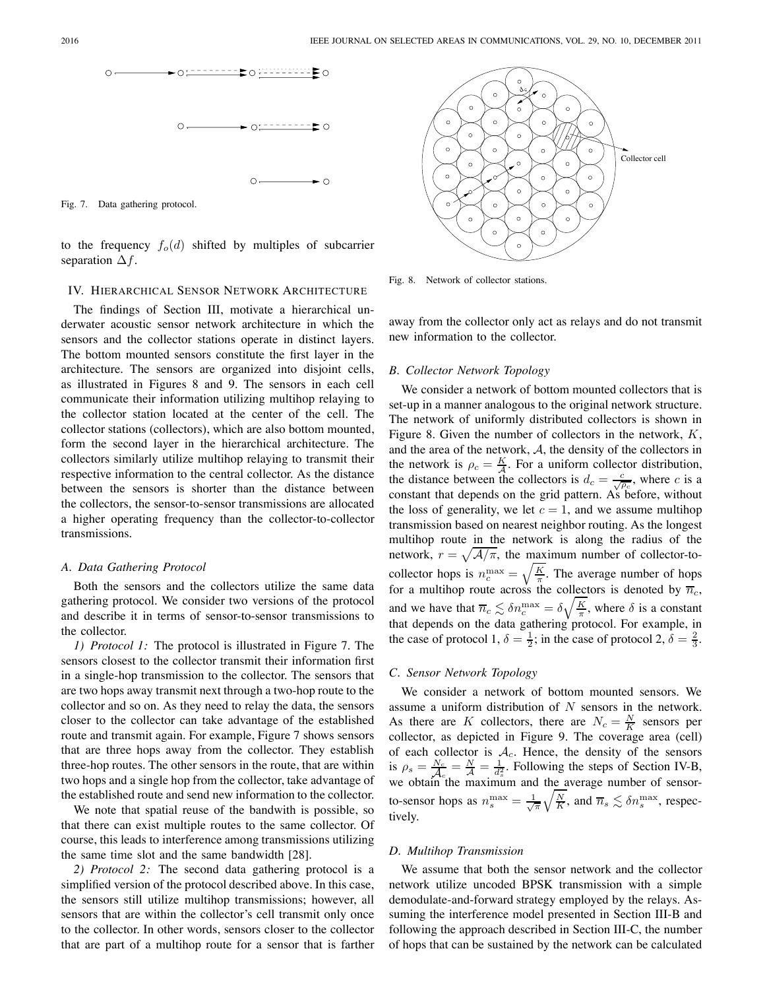

Fig. 7. Data gathering protocol.

to the frequency  $f<sub>o</sub>(d)$  shifted by multiples of subcarrier separation  $\Delta f$ .

# IV. HIERARCHICAL SENSOR NETWORK ARCHITECTURE

The findings of Section III, motivate a hierarchical underwater acoustic sensor network architecture in which the sensors and the collector stations operate in distinct layers. The bottom mounted sensors constitute the first layer in the architecture. The sensors are organized into disjoint cells, as illustrated in Figures 8 and 9. The sensors in each cell communicate their information utilizing multihop relaying to the collector station located at the center of the cell. The collector stations (collectors), which are also bottom mounted, form the second layer in the hierarchical architecture. The collectors similarly utilize multihop relaying to transmit their respective information to the central collector. As the distance between the sensors is shorter than the distance between the collectors, the sensor-to-sensor transmissions are allocated a higher operating frequency than the collector-to-collector transmissions.

## *A. Data Gathering Protocol*

Both the sensors and the collectors utilize the same data gathering protocol. We consider two versions of the protocol and describe it in terms of sensor-to-sensor transmissions to the collector.

*1) Protocol 1:* The protocol is illustrated in Figure 7. The sensors closest to the collector transmit their information first in a single-hop transmission to the collector. The sensors that are two hops away transmit next through a two-hop route to the collector and so on. As they need to relay the data, the sensors closer to the collector can take advantage of the established route and transmit again. For example, Figure 7 shows sensors that are three hops away from the collector. They establish three-hop routes. The other sensors in the route, that are within two hops and a single hop from the collector, take advantage of the established route and send new information to the collector.

We note that spatial reuse of the bandwith is possible, so that there can exist multiple routes to the same collector. Of course, this leads to interference among transmissions utilizing the same time slot and the same bandwidth [28].

*2) Protocol 2:* The second data gathering protocol is a simplified version of the protocol described above. In this case, the sensors still utilize multihop transmissions; however, all sensors that are within the collector's cell transmit only once to the collector. In other words, sensors closer to the collector that are part of a multihop route for a sensor that is farther



Fig. 8. Network of collector stations.

away from the collector only act as relays and do not transmit new information to the collector.

## *B. Collector Network Topology*

We consider a network of bottom mounted collectors that is set-up in a manner analogous to the original network structure. The network of uniformly distributed collectors is shown in Figure 8. Given the number of collectors in the network,  $K$ , and the area of the network, A, the density of the collectors in the network is  $\rho_c = \frac{K}{A}$ . For a uniform collector distribution,<br>the distance between the collectors is  $d_c = \frac{c}{A}$  where c is a the distance between the collectors is  $d_c = \frac{c}{\sqrt{\rho_c}}$ , where c is a constant that depends on the grid pattern. As before, without constant that depends on the grid pattern. As before, without the loss of generality, we let  $c = 1$ , and we assume multihop transmission based on nearest neighbor routing. As the longest multihop route in the network is along the radius of the network,  $r = \sqrt{\frac{\mathcal{A}}{\pi}}$ , the maximum number of collector-tocollector hops is  $n_c^{\text{max}} = \sqrt{\frac{K}{\pi}}$ . The average number of hops<br>for a multihon route across the collectors is denoted by  $\overline{n}$ . for a multihop route across the collectors is denoted by  $\overline{n}_c$ , and we have that  $\overline{n}_c \lesssim \delta n_c^{\text{max}} = \delta \sqrt{\frac{K}{\pi}}$ , where  $\delta$  is a constant that depends on the data gathering protocol. For example, in the case of protocol 1,  $\delta = \frac{1}{2}$ ; in the case of protocol 2,  $\delta = \frac{2}{3}$ .

# *C. Sensor Network Topology*

We consider a network of bottom mounted sensors. We assume a uniform distribution of  $N$  sensors in the network. As there are K collectors, there are  $N_c = \frac{N}{K}$  sensors per collector as depicted in Figure 9. The coverage area (cell) collector, as depicted in Figure 9. The coverage area (cell) of each collector is  $A_c$ . Hence, the density of the sensors is  $\rho_s = \frac{N_c}{\mathcal{A}_c} = \frac{N}{\mathcal{A}} = \frac{1}{d_s^2}$ . Following the steps of Section IV-B, we obtain the maximum and the average number of sensorto-sensor hops as  $n_s^{\text{max}} = \frac{1}{\sqrt{\pi}} \sqrt{\frac{N}{K}}$ , and  $\overline{n}_s \lesssim \delta n_s^{\text{max}}$ , respectively tively.

## *D. Multihop Transmission*

We assume that both the sensor network and the collector network utilize uncoded BPSK transmission with a simple demodulate-and-forward strategy employed by the relays. Assuming the interference model presented in Section III-B and following the approach described in Section III-C, the number of hops that can be sustained by the network can be calculated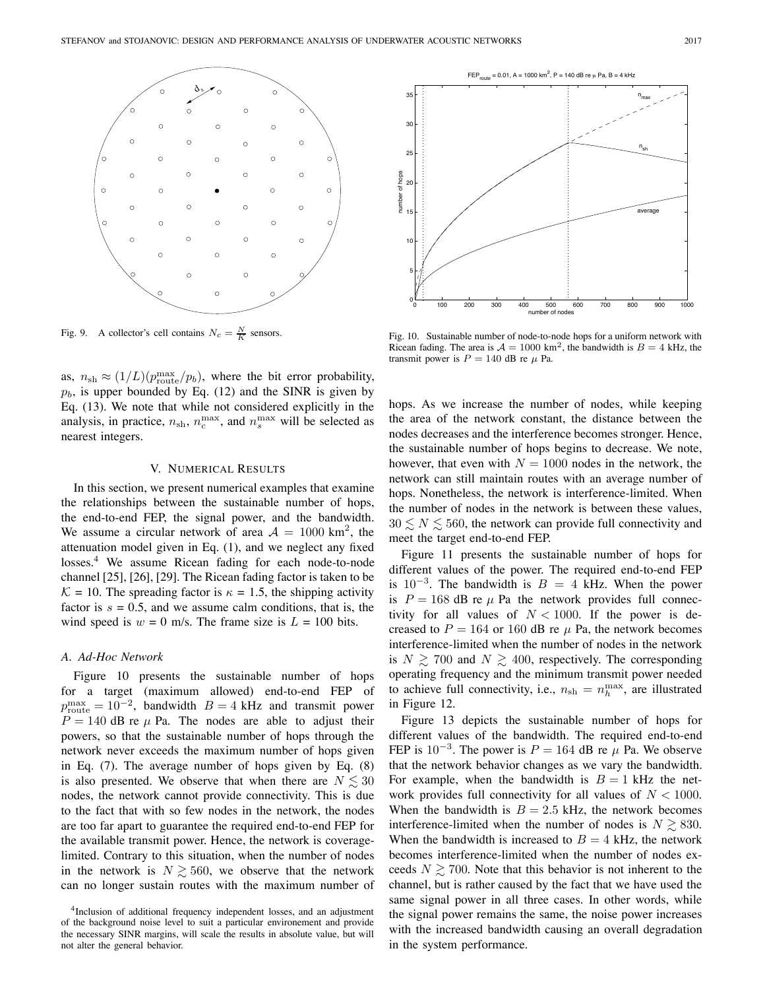

Fig. 9. A collector's cell contains  $N_c = \frac{N}{K}$  sensors.

as,  $n_{\rm sh} \approx (1/L)(p_{\rm route}^{\rm max}/p_b)$ , where the bit error probability,<br>*n*<sub>i</sub> is upper bounded by Eq. (12) and the SINR is given by  $p<sub>b</sub>$ , is upper bounded by Eq. (12) and the SINR is given by Eq. (13). We note that while not considered explicitly in the analysis, in practice,  $n_{\rm sh}$ ,  $n_c^{\rm max}$ , and  $n_s^{\rm max}$  will be selected as nearest integers.

#### V. NUMERICAL RESULTS

In this section, we present numerical examples that examine the relationships between the sustainable number of hops, the end-to-end FEP, the signal power, and the bandwidth. We assume a circular network of area  $A = 1000$  km<sup>2</sup>, the attenuation model given in Eq. (1), and we neglect any fixed losses.<sup>4</sup> We assume Ricean fading for each node-to-node channel [25], [26], [29]. The Ricean fading factor is taken to be  $K = 10$ . The spreading factor is  $\kappa = 1.5$ , the shipping activity factor is  $s = 0.5$ , and we assume calm conditions, that is, the wind speed is  $w = 0$  m/s. The frame size is  $L = 100$  bits.

## *A. Ad-Hoc Network*

Figure 10 presents the sustainable number of hops for a target (maximum allowed) end-to-end FEP of  $p_{\text{route}}^{\text{max}} = 10^{-2}$ , bandwidth  $B = 4$  kHz and transmit power<br> $P = 140$  dB re  $\mu$  Pa. The nodes are able to adjust their  $P = 140$  dB re  $\mu$  Pa. The nodes are able to adjust their powers, so that the sustainable number of hops through the network never exceeds the maximum number of hops given in Eq. (7). The average number of hops given by Eq. (8) is also presented. We observe that when there are  $N \lesssim 30$ nodes, the network cannot provide connectivity. This is due to the fact that with so few nodes in the network, the nodes are too far apart to guarantee the required end-to-end FEP for the available transmit power. Hence, the network is coveragelimited. Contrary to this situation, when the number of nodes in the network is  $N \gtrsim 560$ , we observe that the network can no longer sustain routes with the maximum number of



Fig. 10. Sustainable number of node-to-node hops for a uniform network with Ricean fading. The area is  $A = 1000$  km<sup>2</sup>, the bandwidth is  $B = 4$  kHz, the transmit power is  $P = 140$  dB re  $\mu$  Pa.

hops. As we increase the number of nodes, while keeping the area of the network constant, the distance between the nodes decreases and the interference becomes stronger. Hence, the sustainable number of hops begins to decrease. We note, however, that even with  $N = 1000$  nodes in the network, the network can still maintain routes with an average number of hops. Nonetheless, the network is interference-limited. When the number of nodes in the network is between these values,  $30 \lesssim N \lesssim 560$ , the network can provide full connectivity and meet the target end-to-end EEP meet the target end-to-end FEP.

Figure 11 presents the sustainable number of hops for different values of the power. The required end-to-end FEP is  $10^{-3}$ . The bandwidth is  $B = 4$  kHz. When the power is  $P = 168$  dB re  $\mu$  Pa the network provides full connectivity for all values of  $N < 1000$ . If the power is decreased to  $P = 164$  or 160 dB re  $\mu$  Pa, the network becomes interference-limited when the number of nodes in the network is  $N \ge 700$  and  $N \ge 400$ , respectively. The corresponding operating frequency and the minimum transmit power needed to achieve full connectivity, i.e.,  $n_{\rm sh} = n_h^{\rm max}$ , are illustrated in Figure 12 in Figure 12.

Figure 13 depicts the sustainable number of hops for different values of the bandwidth. The required end-to-end FEP is  $10^{-3}$ . The power is  $P = 164$  dB re  $\mu$  Pa. We observe that the network behavior changes as we vary the bandwidth. For example, when the bandwidth is  $B = 1$  kHz the network provides full connectivity for all values of  $N < 1000$ . When the bandwidth is  $B = 2.5$  kHz, the network becomes interference-limited when the number of nodes is  $N \gtrsim 830$ . When the bandwidth is increased to  $B = 4$  kHz, the network becomes interference-limited when the number of nodes exceeds  $N \ge 700$ . Note that this behavior is not inherent to the channel, but is rather caused by the fact that we have used the same signal power in all three cases. In other words, while the signal power remains the same, the noise power increases with the increased bandwidth causing an overall degradation in the system performance.

<sup>4</sup>Inclusion of additional frequency independent losses, and an adjustment of the background noise level to suit a particular environement and provide the necessary SINR margins, will scale the results in absolute value, but will not alter the general behavior.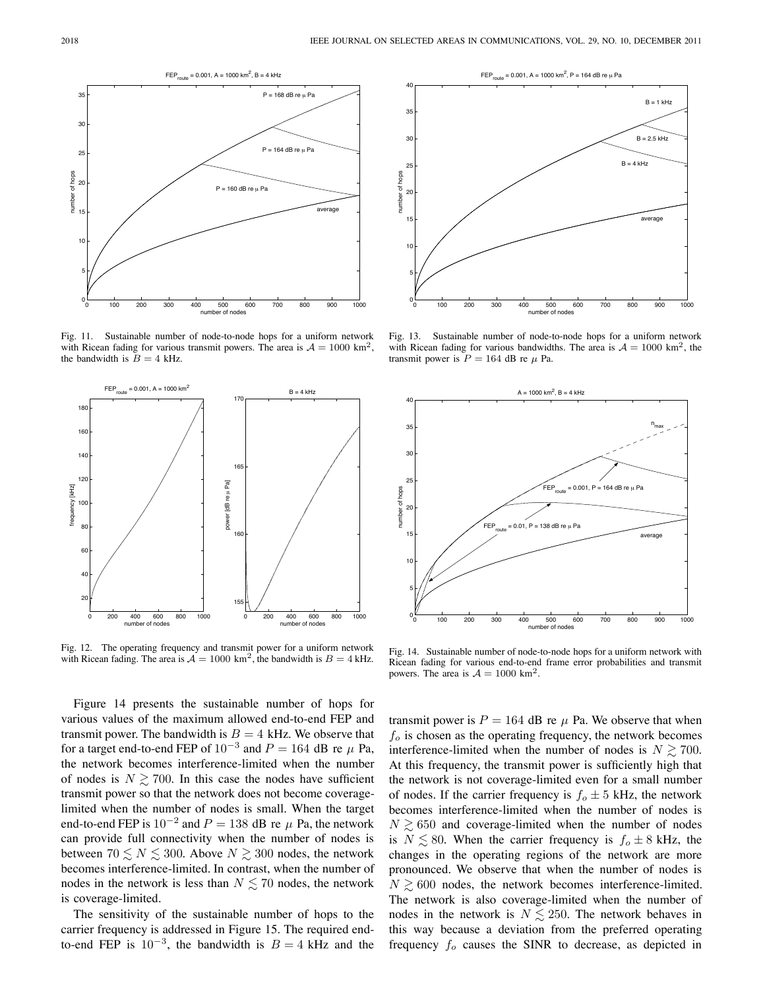

Fig. 11. Sustainable number of node-to-node hops for a uniform network with Ricean fading for various transmit powers. The area is  $A = 1000$  km<sup>2</sup>, the bandwidth is  $B = 4$  kHz.



Fig. 12. The operating frequency and transmit power for a uniform network with Ricean fading. The area is  $A = 1000 \text{ km}^2$ , the bandwidth is  $B = 4 \text{ kHz}$ .

Figure 14 presents the sustainable number of hops for various values of the maximum allowed end-to-end FEP and transmit power. The bandwidth is  $B = 4$  kHz. We observe that for a target end-to-end FEP of  $10^{-3}$  and  $P = 164$  dB re  $\mu$  Pa, the network becomes interference-limited when the number of nodes is  $N \gtrsim 700$ . In this case the nodes have sufficient transmit power so that the network does not become coveragelimited when the number of nodes is small. When the target end-to-end FEP is  $10^{-2}$  and  $P = 138$  dB re  $\mu$  Pa, the network can provide full connectivity when the number of nodes is between  $70 \le N \le 300$ . Above  $N \ge 300$  nodes, the network<br>becomes interference-limited. In contrast, when the number of becomes interference-limited. In contrast, when the number of nodes in the network is less than  $N \lesssim 70$  nodes, the network is coverage-limited is coverage-limited.

The sensitivity of the sustainable number of hops to the carrier frequency is addressed in Figure 15. The required endto-end FEP is  $10^{-3}$ , the bandwidth is  $B = 4$  kHz and the



Fig. 13. Sustainable number of node-to-node hops for a uniform network with Ricean fading for various bandwidths. The area is  $A = 1000$  km<sup>2</sup>, the transmit power is  $P = 164$  dB re  $\mu$  Pa.



Fig. 14. Sustainable number of node-to-node hops for a uniform network with Ricean fading for various end-to-end frame error probabilities and transmit powers. The area is  $A = 1000$  km<sup>2</sup>.

transmit power is  $P = 164$  dB re  $\mu$  Pa. We observe that when  $f<sub>o</sub>$  is chosen as the operating frequency, the network becomes interference-limited when the number of nodes is  $N \gtrsim 700$ . At this frequency, the transmit power is sufficiently high that the network is not coverage-limited even for a small number of nodes. If the carrier frequency is  $f_0 \pm 5$  kHz, the network becomes interference-limited when the number of nodes is  $N \gtrsim 650$  and coverage-limited when the number of nodes is  $N \lesssim 80$ . When the carrier frequency is  $f_0 \pm 8$  kHz, the changes in the operating regions of the network are more changes in the operating regions of the network are more pronounced. We observe that when the number of nodes is  $N \gtrsim 600$  nodes, the network becomes interference-limited. The network is also coverage-limited when the number of nodes in the network is  $N \lesssim 250$ . The network behaves in this way because a deviation from the preferred operating this way because a deviation from the preferred operating frequency  $f<sub>o</sub>$  causes the SINR to decrease, as depicted in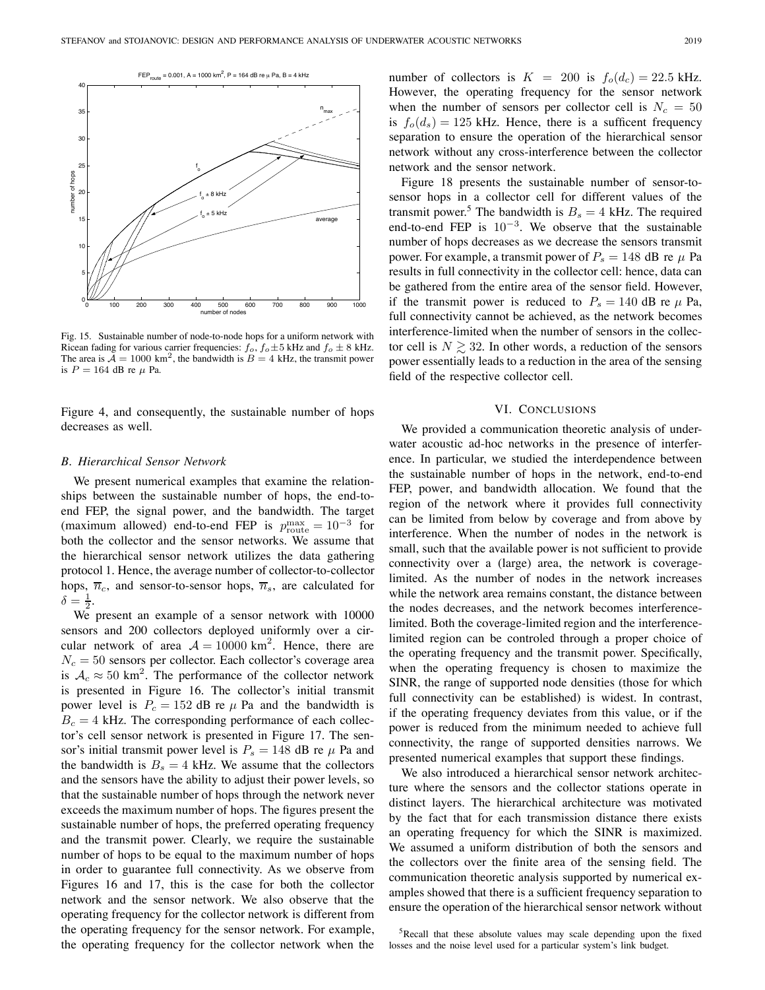

Fig. 15. Sustainable number of node-to-node hops for a uniform network with Ricean fading for various carrier frequencies:  $f_o$ ,  $f_o \pm 5$  kHz and  $f_o \pm 8$  kHz. The area is  $A = 1000$  km<sup>2</sup>, the bandwidth is  $B = 4$  kHz, the transmit power is  $P = 164$  dB re  $\mu$  Pa.

Figure 4, and consequently, the sustainable number of hops decreases as well.

### *B. Hierarchical Sensor Network*

We present numerical examples that examine the relationships between the sustainable number of hops, the end-toend FEP, the signal power, and the bandwidth. The target (maximum allowed) end-to-end FEP is  $p_{\text{route}}^{\text{max}} = 10^{-3}$  for hoth the collector and the sensor networks. We assume that both the collector and the sensor networks. We assume that the hierarchical sensor network utilizes the data gathering protocol 1. Hence, the average number of collector-to-collector hops,  $\overline{n}_c$ , and sensor-to-sensor hops,  $\overline{n}_s$ , are calculated for  $\delta = \frac{1}{2}$ .<br>We

We present an example of a sensor network with 10000 sensors and 200 collectors deployed uniformly over a circular network of area  $A = 10000$  km<sup>2</sup>. Hence, there are  $N_c = 50$  sensors per collector. Each collector's coverage area is  $A_c \approx 50$  km<sup>2</sup>. The performance of the collector network is presented in Figure 16. The collector's initial transmit power level is  $P_c = 152$  dB re  $\mu$  Pa and the bandwidth is  $B<sub>c</sub> = 4$  kHz. The corresponding performance of each collector's cell sensor network is presented in Figure 17. The sensor's initial transmit power level is  $P_s = 148$  dB re  $\mu$  Pa and the bandwidth is  $B_s = 4$  kHz. We assume that the collectors and the sensors have the ability to adjust their power levels, so that the sustainable number of hops through the network never exceeds the maximum number of hops. The figures present the sustainable number of hops, the preferred operating frequency and the transmit power. Clearly, we require the sustainable number of hops to be equal to the maximum number of hops in order to guarantee full connectivity. As we observe from Figures 16 and 17, this is the case for both the collector network and the sensor network. We also observe that the operating frequency for the collector network is different from the operating frequency for the sensor network. For example, the operating frequency for the collector network when the

number of collectors is  $K = 200$  is  $f_o(d_c) = 22.5$  kHz. However, the operating frequency for the sensor network when the number of sensors per collector cell is  $N_c = 50$ is  $f<sub>o</sub>(d<sub>s</sub>) = 125$  kHz. Hence, there is a sufficent frequency separation to ensure the operation of the hierarchical sensor network without any cross-interference between the collector network and the sensor network.

Figure 18 presents the sustainable number of sensor-tosensor hops in a collector cell for different values of the transmit power.<sup>5</sup> The bandwidth is  $B_s = 4$  kHz. The required end-to-end FEP is <sup>10</sup>−3. We observe that the sustainable number of hops decreases as we decrease the sensors transmit power. For example, a transmit power of  $P_s = 148$  dB re  $\mu$  Pa results in full connectivity in the collector cell: hence, data can be gathered from the entire area of the sensor field. However, if the transmit power is reduced to  $P_s = 140$  dB re  $\mu$  Pa, full connectivity cannot be achieved, as the network becomes interference-limited when the number of sensors in the collector cell is  $N \ge 32$ . In other words, a reduction of the sensors power essentially leads to a reduction in the area of the sensing field of the respective collector cell.

#### VI. CONCLUSIONS

We provided a communication theoretic analysis of underwater acoustic ad-hoc networks in the presence of interference. In particular, we studied the interdependence between the sustainable number of hops in the network, end-to-end FEP, power, and bandwidth allocation. We found that the region of the network where it provides full connectivity can be limited from below by coverage and from above by interference. When the number of nodes in the network is small, such that the available power is not sufficient to provide connectivity over a (large) area, the network is coveragelimited. As the number of nodes in the network increases while the network area remains constant, the distance between the nodes decreases, and the network becomes interferencelimited. Both the coverage-limited region and the interferencelimited region can be controled through a proper choice of the operating frequency and the transmit power. Specifically, when the operating frequency is chosen to maximize the SINR, the range of supported node densities (those for which full connectivity can be established) is widest. In contrast, if the operating frequency deviates from this value, or if the power is reduced from the minimum needed to achieve full connectivity, the range of supported densities narrows. We presented numerical examples that support these findings.

We also introduced a hierarchical sensor network architecture where the sensors and the collector stations operate in distinct layers. The hierarchical architecture was motivated by the fact that for each transmission distance there exists an operating frequency for which the SINR is maximized. We assumed a uniform distribution of both the sensors and the collectors over the finite area of the sensing field. The communication theoretic analysis supported by numerical examples showed that there is a sufficient frequency separation to ensure the operation of the hierarchical sensor network without

<sup>5</sup>Recall that these absolute values may scale depending upon the fixed losses and the noise level used for a particular system's link budget.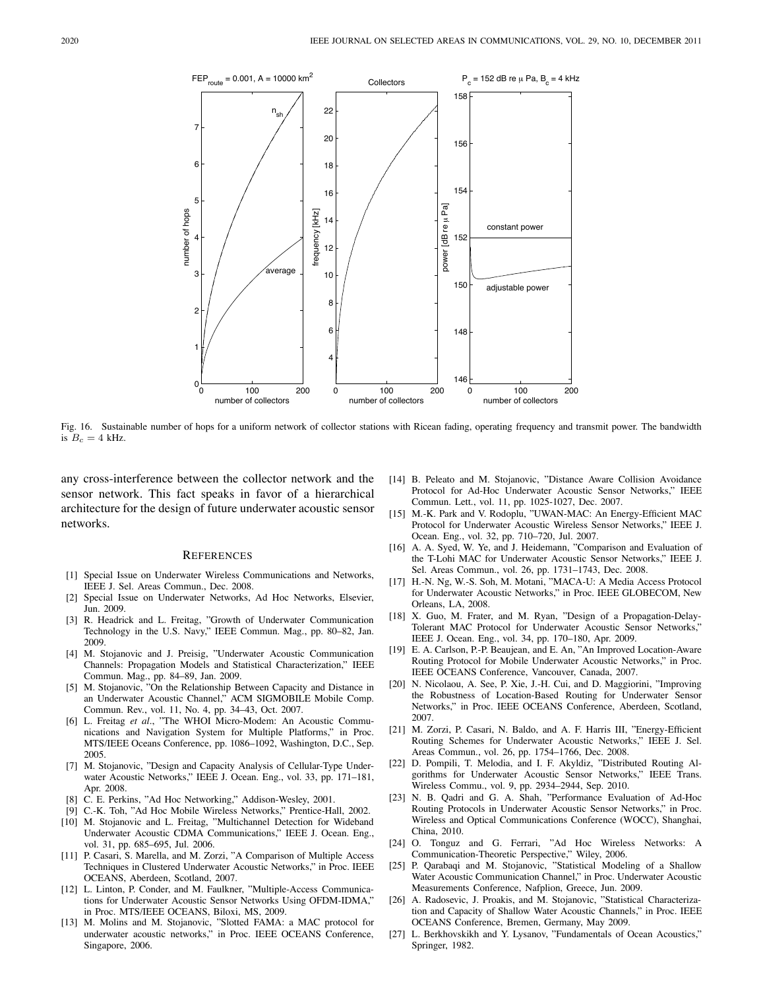

Fig. 16. Sustainable number of hops for a uniform network of collector stations with Ricean fading, operating frequency and transmit power. The bandwidth is  $B<sub>c</sub> = 4$  kHz.

any cross-interference between the collector network and the sensor network. This fact speaks in favor of a hierarchical architecture for the design of future underwater acoustic sensor networks.

#### **REFERENCES**

- [1] Special Issue on Underwater Wireless Communications and Networks, IEEE J. Sel. Areas Commun., Dec. 2008.
- [2] Special Issue on Underwater Networks, Ad Hoc Networks, Elsevier, Jun. 2009.
- [3] R. Headrick and L. Freitag, "Growth of Underwater Communication Technology in the U.S. Navy," IEEE Commun. Mag., pp. 80–82, Jan. 2009.
- [4] M. Stojanovic and J. Preisig, "Underwater Acoustic Communication Channels: Propagation Models and Statistical Characterization," IEEE Commun. Mag., pp. 84–89, Jan. 2009.
- [5] M. Stojanovic, "On the Relationship Between Capacity and Distance in an Underwater Acoustic Channel," ACM SIGMOBILE Mobile Comp. Commun. Rev., vol. 11, No. 4, pp. 34–43, Oct. 2007.
- [6] L. Freitag *et al.*, "The WHOI Micro-Modem: An Acoustic Communications and Navigation System for Multiple Platforms," in Proc. MTS/IEEE Oceans Conference, pp. 1086–1092, Washington, D.C., Sep. 2005.
- [7] M. Stojanovic, "Design and Capacity Analysis of Cellular-Type Underwater Acoustic Networks," IEEE J. Ocean. Eng., vol. 33, pp. 171–181, Apr. 2008.
- [8] C. E. Perkins, "Ad Hoc Networking," Addison-Wesley, 2001.
- [9] C.-K. Toh, "Ad Hoc Mobile Wireless Networks," Prentice-Hall, 2002.
- [10] M. Stojanovic and L. Freitag, "Multichannel Detection for Wideband Underwater Acoustic CDMA Communications," IEEE J. Ocean. Eng., vol. 31, pp. 685–695, Jul. 2006.
- [11] P. Casari, S. Marella, and M. Zorzi, "A Comparison of Multiple Access Techniques in Clustered Underwater Acoustic Networks," in Proc. IEEE OCEANS, Aberdeen, Scotland, 2007.
- [12] L. Linton, P. Conder, and M. Faulkner, "Multiple-Access Communications for Underwater Acoustic Sensor Networks Using OFDM-IDMA," in Proc. MTS/IEEE OCEANS, Biloxi, MS, 2009.
- [13] M. Molins and M. Stojanovic, "Slotted FAMA: a MAC protocol for underwater acoustic networks," in Proc. IEEE OCEANS Conference, Singapore, 2006.
- [14] B. Peleato and M. Stojanovic, "Distance Aware Collision Avoidance Protocol for Ad-Hoc Underwater Acoustic Sensor Networks," IEEE Commun. Lett., vol. 11, pp. 1025-1027, Dec. 2007.
- [15] M.-K. Park and V. Rodoplu, "UWAN-MAC: An Energy-Efficient MAC Protocol for Underwater Acoustic Wireless Sensor Networks," IEEE J. Ocean. Eng., vol. 32, pp. 710–720, Jul. 2007.
- [16] A. A. Syed, W. Ye, and J. Heidemann, "Comparison and Evaluation of the T-Lohi MAC for Underwater Acoustic Sensor Networks," IEEE J. Sel. Areas Commun., vol. 26, pp. 1731–1743, Dec. 2008.
- [17] H.-N. Ng, W.-S. Soh, M. Motani, "MACA-U: A Media Access Protocol for Underwater Acoustic Networks," in Proc. IEEE GLOBECOM, New Orleans, LA, 2008.
- [18] X. Guo, M. Frater, and M. Ryan, "Design of a Propagation-Delay-Tolerant MAC Protocol for Underwater Acoustic Sensor Networks," IEEE J. Ocean. Eng., vol. 34, pp. 170–180, Apr. 2009.
- [19] E. A. Carlson, P.-P. Beaujean, and E. An, "An Improved Location-Aware Routing Protocol for Mobile Underwater Acoustic Networks," in Proc. IEEE OCEANS Conference, Vancouver, Canada, 2007.
- [20] N. Nicolaou, A. See, P. Xie, J.-H. Cui, and D. Maggiorini, "Improving the Robustness of Location-Based Routing for Underwater Sensor Networks," in Proc. IEEE OCEANS Conference, Aberdeen, Scotland, 2007.
- [21] M. Zorzi, P. Casari, N. Baldo, and A. F. Harris III, "Energy-Efficient Routing Schemes for Underwater Acoustic Networks," IEEE J. Sel. Areas Commun., vol. 26, pp. 1754–1766, Dec. 2008.
- [22] D. Pompili, T. Melodia, and I. F. Akyldiz, "Distributed Routing Algorithms for Underwater Acoustic Sensor Networks," IEEE Trans. Wireless Commu., vol. 9, pp. 2934–2944, Sep. 2010.
- [23] N. B. Qadri and G. A. Shah, "Performance Evaluation of Ad-Hoc Routing Protocols in Underwater Acoustic Sensor Networks," in Proc. Wireless and Optical Communications Conference (WOCC), Shanghai, China, 2010.
- [24] O. Tonguz and G. Ferrari, "Ad Hoc Wireless Networks: A Communication-Theoretic Perspective," Wiley, 2006.
- [25] P. Qarabaqi and M. Stojanovic, "Statistical Modeling of a Shallow Water Acoustic Communication Channel," in Proc. Underwater Acoustic Measurements Conference, Nafplion, Greece, Jun. 2009.
- [26] A. Radosevic, J. Proakis, and M. Stojanovic, "Statistical Characterization and Capacity of Shallow Water Acoustic Channels," in Proc. IEEE OCEANS Conference, Bremen, Germany, May 2009.
- [27] L. Berkhovskikh and Y. Lysanov, "Fundamentals of Ocean Acoustics," Springer, 1982.